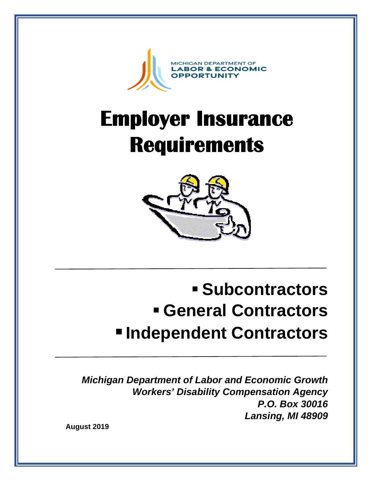

# **Employer Insurance Requirements**



# **Subcontractors General Contractors Independent Contractors**

*Michigan Department of Labor and Economic Growth Workers' Disability Compensation Agency P.O. Box 30016 Lansing, MI 48909* 

**August 2019**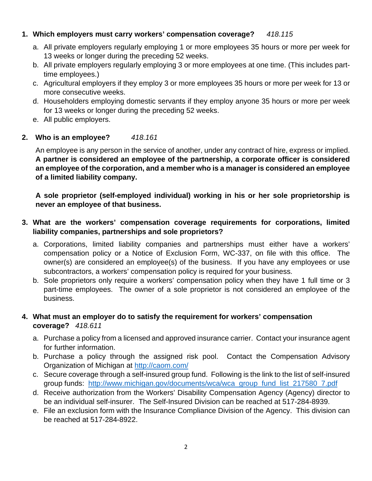# **1. Which employers must carry workers' compensation coverage?** *418.115*

- a. All private employers regularly employing 1 or more employees 35 hours or more per week for 13 weeks or longer during the preceding 52 weeks.
- b. All private employers regularly employing 3 or more employees at one time. (This includes parttime employees.)
- c. Agricultural employers if they employ 3 or more employees 35 hours or more per week for 13 or more consecutive weeks.
- d. Householders employing domestic servants if they employ anyone 35 hours or more per week for 13 weeks or longer during the preceding 52 weeks.
- e. All public employers.

# **2. Who is an employee?** *418.161*

An employee is any person in the service of another, under any contract of hire, express or implied. **A partner is considered an employee of the partnership, a corporate officer is considered an employee of the corporation, and a member who is a manager is considered an employee of a limited liability company.** 

**A sole proprietor (self-employed individual) working in his or her sole proprietorship is never an employee of that business.** 

# **3. What are the workers' compensation coverage requirements for corporations, limited liability companies, partnerships and sole proprietors?**

- a. Corporations, limited liability companies and partnerships must either have a workers' compensation policy or a Notice of Exclusion Form, WC-337, on file with this office. The owner(s) are considered an employee(s) of the business. If you have any employees or use subcontractors, a workers' compensation policy is required for your business.
- b. Sole proprietors only require a workers' compensation policy when they have 1 full time or 3 part-time employees. The owner of a sole proprietor is not considered an employee of the business.

# **4. What must an employer do to satisfy the requirement for workers' compensation coverage?** *418.611*

- a. Purchase a policy from a licensed and approved insurance carrier. Contact your insurance agent for further information.
- b. Purchase a policy through the assigned risk pool. Contact the Compensation Advisory Organization of Michigan at<http://caom.com/>
- c. Secure coverage through a self-insured group fund. Following is the link to the list of self-insured group funds: [http://www.michigan.gov/documents/wca/wca\\_group\\_fund\\_list\\_217580\\_7.pdf](http://www.michigan.gov/documents/wca/wca_group_fund_list_217580_7.pdf)
- d. Receive authorization from the Workers' Disability Compensation Agency (Agency) director to be an individual self-insurer. The Self-Insured Division can be reached at 517-284-8939.
- e. File an exclusion form with the Insurance Compliance Division of the Agency. This division can be reached at 517-284-8922.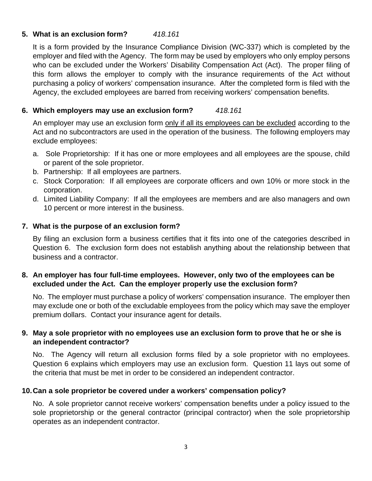## **5. What is an exclusion form?** *418.161*

It is a form provided by the Insurance Compliance Division (WC-337) which is completed by the employer and filed with the Agency. The form may be used by employers who only employ persons who can be excluded under the Workers' Disability Compensation Act (Act). The proper filing of this form allows the employer to comply with the insurance requirements of the Act without purchasing a policy of workers' compensation insurance. After the completed form is filed with the Agency, the excluded employees are barred from receiving workers' compensation benefits.

#### **6. Which employers may use an exclusion form?** *418.161*

An employer may use an exclusion form only if all its employees can be excluded according to the Act and no subcontractors are used in the operation of the business. The following employers may exclude employees:

- a. Sole Proprietorship: If it has one or more employees and all employees are the spouse, child or parent of the sole proprietor.
- b. Partnership: If all employees are partners.
- c. Stock Corporation: If all employees are corporate officers and own 10% or more stock in the corporation.
- d. Limited Liability Company: If all the employees are members and are also managers and own 10 percent or more interest in the business.

#### **7. What is the purpose of an exclusion form?**

By filing an exclusion form a business certifies that it fits into one of the categories described in Question 6. The exclusion form does not establish anything about the relationship between that business and a contractor.

# **8. An employer has four full-time employees. However, only two of the employees can be excluded under the Act. Can the employer properly use the exclusion form?**

No. The employer must purchase a policy of workers' compensation insurance. The employer then may exclude one or both of the excludable employees from the policy which may save the employer premium dollars. Contact your insurance agent for details.

#### **9. May a sole proprietor with no employees use an exclusion form to prove that he or she is an independent contractor?**

No. The Agency will return all exclusion forms filed by a sole proprietor with no employees. Question 6 explains which employers may use an exclusion form. Question 11 lays out some of the criteria that must be met in order to be considered an independent contractor.

# **10. Can a sole proprietor be covered under a workers' compensation policy?**

No. A sole proprietor cannot receive workers' compensation benefits under a policy issued to the sole proprietorship or the general contractor (principal contractor) when the sole proprietorship operates as an independent contractor.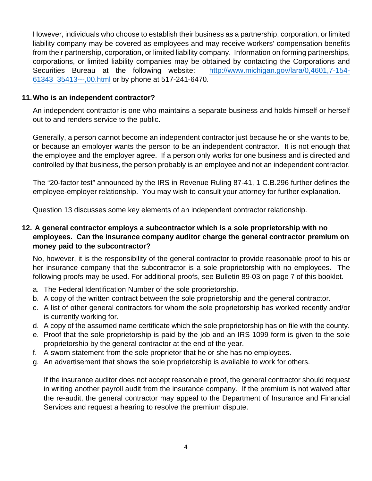However, individuals who choose to establish their business as a partnership, corporation, or limited liability company may be covered as employees and may receive workers' compensation benefits from their partnership, corporation, or limited liability company. Information on forming partnerships, corporations, or limited liability companies may be obtained by contacting the Corporations and Securities Bureau at the following website: [http://www.michigan.gov/lara/0,4601,7-154-](http://www.michigan.gov/lara/0,4601,7-154-61343_35413---,00.html) [61343\\_35413---,00.html](http://www.michigan.gov/lara/0,4601,7-154-61343_35413---,00.html) or by phone at 517-241-6470.

#### **11. Who is an independent contractor?**

An independent contractor is one who maintains a separate business and holds himself or herself out to and renders service to the public.

Generally, a person cannot become an independent contractor just because he or she wants to be, or because an employer wants the person to be an independent contractor. It is not enough that the employee and the employer agree. If a person only works for one business and is directed and controlled by that business, the person probably is an employee and not an independent contractor.

The "20-factor test" announced by the IRS in Revenue Ruling 87-41, 1 C.B.296 further defines the employee-employer relationship. You may wish to consult your attorney for further explanation.

Question 13 discusses some key elements of an independent contractor relationship.

# **12. A general contractor employs a subcontractor which is a sole proprietorship with no employees. Can the insurance company auditor charge the general contractor premium on money paid to the subcontractor?**

No, however, it is the responsibility of the general contractor to provide reasonable proof to his or her insurance company that the subcontractor is a sole proprietorship with no employees. The following proofs may be used. For additional proofs, see Bulletin 89-03 on page 7 of this booklet.

- a. The Federal Identification Number of the sole proprietorship.
- b. A copy of the written contract between the sole proprietorship and the general contractor.
- c. A list of other general contractors for whom the sole proprietorship has worked recently and/or is currently working for.
- d. A copy of the assumed name certificate which the sole proprietorship has on file with the county.
- e. Proof that the sole proprietorship is paid by the job and an IRS 1099 form is given to the sole proprietorship by the general contractor at the end of the year.
- f. A sworn statement from the sole proprietor that he or she has no employees.
- g. An advertisement that shows the sole proprietorship is available to work for others.

If the insurance auditor does not accept reasonable proof, the general contractor should request in writing another payroll audit from the insurance company. If the premium is not waived after the re-audit, the general contractor may appeal to the Department of Insurance and Financial Services and request a hearing to resolve the premium dispute.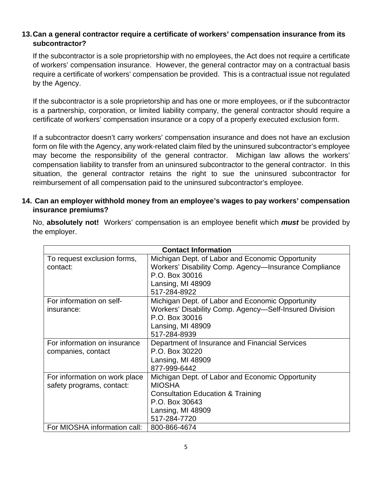# **13. Can a general contractor require a certificate of workers' compensation insurance from its subcontractor?**

If the subcontractor is a sole proprietorship with no employees, the Act does not require a certificate of workers' compensation insurance. However, the general contractor may on a contractual basis require a certificate of workers' compensation be provided. This is a contractual issue not regulated by the Agency.

If the subcontractor is a sole proprietorship and has one or more employees, or if the subcontractor is a partnership, corporation, or limited liability company, the general contractor should require a certificate of workers' compensation insurance or a copy of a properly executed exclusion form.

If a subcontractor doesn't carry workers' compensation insurance and does not have an exclusion form on file with the Agency, any work-related claim filed by the uninsured subcontractor's employee may become the responsibility of the general contractor. Michigan law allows the workers' compensation liability to transfer from an uninsured subcontractor to the general contractor. In this situation, the general contractor retains the right to sue the uninsured subcontractor for reimbursement of all compensation paid to the uninsured subcontractor's employee.

# **14. Can an employer withhold money from an employee's wages to pay workers' compensation insurance premiums?**

No, **absolutely not!** Workers' compensation is an employee benefit which *must* be provided by the employer.

| <b>Contact Information</b>    |                                                        |
|-------------------------------|--------------------------------------------------------|
| To request exclusion forms,   | Michigan Dept. of Labor and Economic Opportunity       |
| contact:                      | Workers' Disability Comp. Agency-Insurance Compliance  |
|                               | P.O. Box 30016                                         |
|                               | Lansing, MI 48909                                      |
|                               | 517-284-8922                                           |
| For information on self-      | Michigan Dept. of Labor and Economic Opportunity       |
| insurance:                    | Workers' Disability Comp. Agency-Self-Insured Division |
|                               | P.O. Box 30016                                         |
|                               | Lansing, MI 48909                                      |
|                               | 517-284-8939                                           |
| For information on insurance  | Department of Insurance and Financial Services         |
| companies, contact            | P.O. Box 30220                                         |
|                               | Lansing, MI 48909                                      |
|                               | 877-999-6442                                           |
| For information on work place | Michigan Dept. of Labor and Economic Opportunity       |
| safety programs, contact:     | <b>MIOSHA</b>                                          |
|                               | <b>Consultation Education &amp; Training</b>           |
|                               | P.O. Box 30643                                         |
|                               | Lansing, MI 48909                                      |
|                               | 517-284-7720                                           |
| For MIOSHA information call:  | 800-866-4674                                           |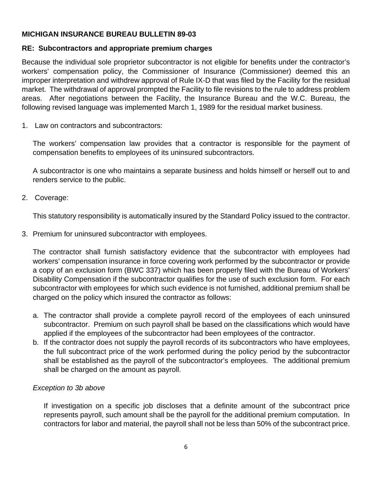# **MICHIGAN INSURANCE BUREAU BULLETIN 89-03**

#### **RE: Subcontractors and appropriate premium charges**

Because the individual sole proprietor subcontractor is not eligible for benefits under the contractor's workers' compensation policy, the Commissioner of Insurance (Commissioner) deemed this an improper interpretation and withdrew approval of Rule IX-D that was filed by the Facility for the residual market. The withdrawal of approval prompted the Facility to file revisions to the rule to address problem areas. After negotiations between the Facility, the Insurance Bureau and the W.C. Bureau, the following revised language was implemented March 1, 1989 for the residual market business.

1. Law on contractors and subcontractors:

The workers' compensation law provides that a contractor is responsible for the payment of compensation benefits to employees of its uninsured subcontractors.

A subcontractor is one who maintains a separate business and holds himself or herself out to and renders service to the public.

2. Coverage:

This statutory responsibility is automatically insured by the Standard Policy issued to the contractor.

3. Premium for uninsured subcontractor with employees.

The contractor shall furnish satisfactory evidence that the subcontractor with employees had workers' compensation insurance in force covering work performed by the subcontractor or provide a copy of an exclusion form (BWC 337) which has been properly filed with the Bureau of Workers' Disability Compensation if the subcontractor qualifies for the use of such exclusion form. For each subcontractor with employees for which such evidence is not furnished, additional premium shall be charged on the policy which insured the contractor as follows:

- a. The contractor shall provide a complete payroll record of the employees of each uninsured subcontractor. Premium on such payroll shall be based on the classifications which would have applied if the employees of the subcontractor had been employees of the contractor.
- b. If the contractor does not supply the payroll records of its subcontractors who have employees, the full subcontract price of the work performed during the policy period by the subcontractor shall be established as the payroll of the subcontractor's employees. The additional premium shall be charged on the amount as payroll.

# *Exception to 3b above*

If investigation on a specific job discloses that a definite amount of the subcontract price represents payroll, such amount shall be the payroll for the additional premium computation. In contractors for labor and material, the payroll shall not be less than 50% of the subcontract price.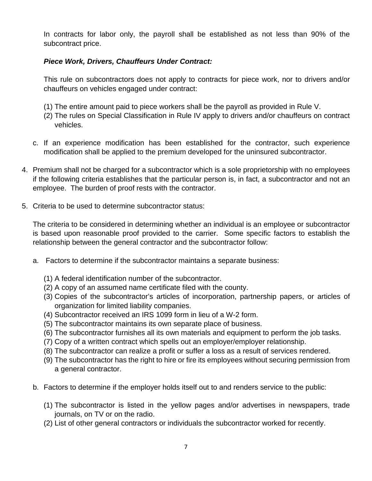In contracts for labor only, the payroll shall be established as not less than 90% of the subcontract price.

# *Piece Work, Drivers, Chauffeurs Under Contract:*

This rule on subcontractors does not apply to contracts for piece work, nor to drivers and/or chauffeurs on vehicles engaged under contract:

- (1) The entire amount paid to piece workers shall be the payroll as provided in Rule V.
- (2) The rules on Special Classification in Rule IV apply to drivers and/or chauffeurs on contract vehicles.
- c. If an experience modification has been established for the contractor, such experience modification shall be applied to the premium developed for the uninsured subcontractor.
- 4. Premium shall not be charged for a subcontractor which is a sole proprietorship with no employees if the following criteria establishes that the particular person is, in fact, a subcontractor and not an employee. The burden of proof rests with the contractor.
- 5. Criteria to be used to determine subcontractor status:

The criteria to be considered in determining whether an individual is an employee or subcontractor is based upon reasonable proof provided to the carrier. Some specific factors to establish the relationship between the general contractor and the subcontractor follow:

- a. Factors to determine if the subcontractor maintains a separate business:
	- (1) A federal identification number of the subcontractor.
	- (2) A copy of an assumed name certificate filed with the county.
	- (3) Copies of the subcontractor's articles of incorporation, partnership papers, or articles of organization for limited liability companies.
	- (4) Subcontractor received an IRS 1099 form in lieu of a W-2 form.
	- (5) The subcontractor maintains its own separate place of business.
	- (6) The subcontractor furnishes all its own materials and equipment to perform the job tasks.
	- (7) Copy of a written contract which spells out an employer/employer relationship.
	- (8) The subcontractor can realize a profit or suffer a loss as a result of services rendered.
	- (9) The subcontractor has the right to hire or fire its employees without securing permission from a general contractor.
- b. Factors to determine if the employer holds itself out to and renders service to the public:
	- (1) The subcontractor is listed in the yellow pages and/or advertises in newspapers, trade journals, on TV or on the radio.
	- (2) List of other general contractors or individuals the subcontractor worked for recently.